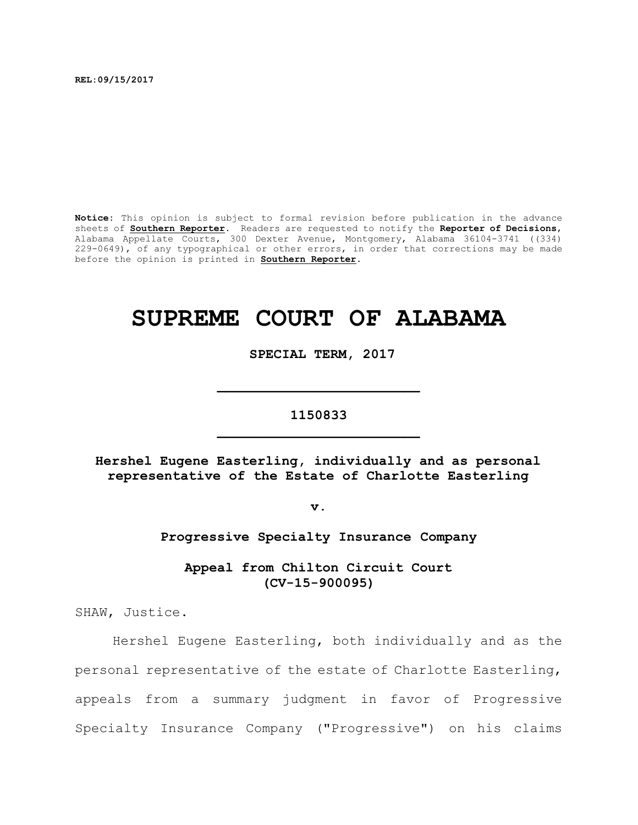**REL:09/15/2017** 

**Notice:** This opinion is subject to formal revision before publication in the advance sheets of **Southern Reporter**. Readers are requested to notify the **Reporter of Decisions**, Alabama Appellate Courts, 300 Dexter Avenue, Montgomery, Alabama 36104-3741 ((334) 229-0649), of any typographical or other errors, in order that corrections may be made before the opinion is printed in **Southern Reporter**.

# **SUPREME COURT OF ALABAMA**

**SPECIAL TERM, 2017**

## **1150833 \_\_\_\_\_\_\_\_\_\_\_\_\_\_\_\_\_\_\_\_\_\_\_\_\_**

**\_\_\_\_\_\_\_\_\_\_\_\_\_\_\_\_\_\_\_\_\_\_\_\_\_**

**Hershel Eugene Easterling, individually and as personal representative of the Estate of Charlotte Easterling**

**v.**

## **Progressive Specialty Insurance Company**

**Appeal from Chilton Circuit Court (CV-15-900095)**

SHAW, Justice.

Hershel Eugene Easterling, both individually and as the personal representative of the estate of Charlotte Easterling, appeals from a summary judgment in favor of Progressive Specialty Insurance Company ("Progressive") on his claims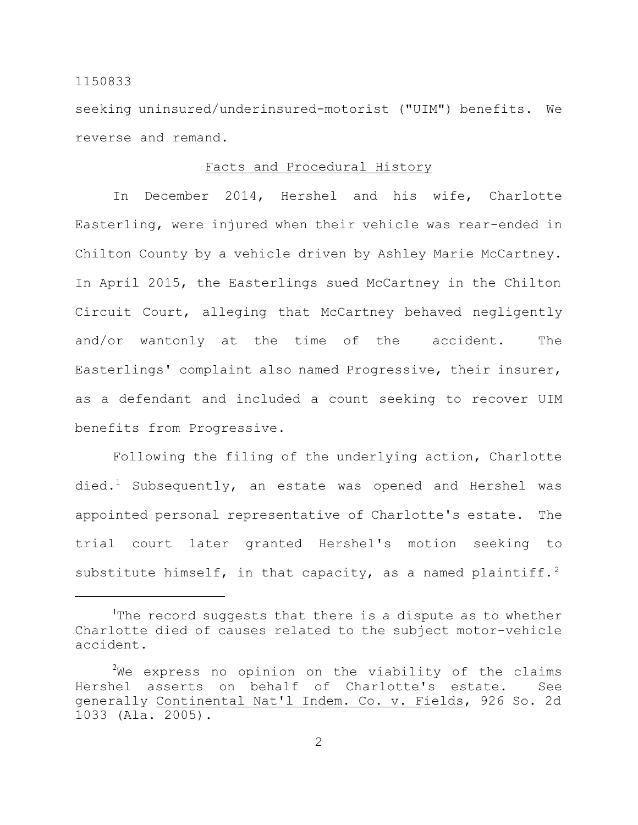seeking uninsured/underinsured-motorist ("UIM") benefits. We reverse and remand.

## Facts and Procedural History

In December 2014, Hershel and his wife, Charlotte Easterling, were injured when their vehicle was rear-ended in Chilton County by a vehicle driven by Ashley Marie McCartney. In April 2015, the Easterlings sued McCartney in the Chilton Circuit Court, alleging that McCartney behaved negligently and/or wantonly at the time of the accident. The Easterlings' complaint also named Progressive, their insurer, as a defendant and included a count seeking to recover UIM benefits from Progressive.

Following the filing of the underlying action, Charlotte died.<sup>1</sup> Subsequently, an estate was opened and Hershel was appointed personal representative of Charlotte's estate. The trial court later granted Hershel's motion seeking to substitute himself, in that capacity, as a named plaintiff.<sup>2</sup>

<sup>&</sup>lt;sup>1</sup>The record suggests that there is a dispute as to whether Charlotte died of causes related to the subject motor-vehicle accident.

 $2$ We express no opinion on the viability of the claims Hershel asserts on behalf of Charlotte's estate. See generally Continental Nat'l Indem. Co. v. Fields, 926 So. 2d 1033 (Ala. 2005).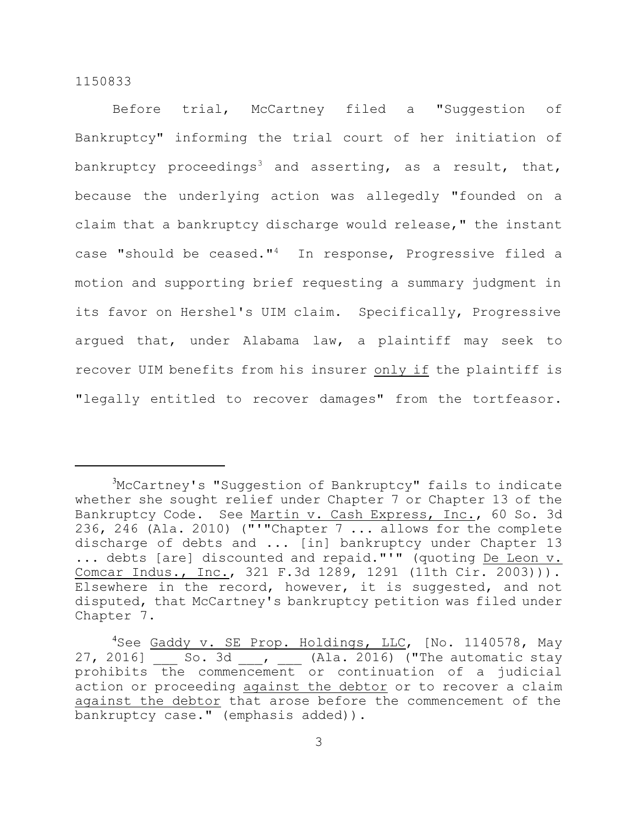Before trial, McCartney filed a "Suggestion of Bankruptcy" informing the trial court of her initiation of bankruptcy proceedings<sup>3</sup> and asserting, as a result, that, because the underlying action was allegedly "founded on a claim that a bankruptcy discharge would release," the instant case "should be ceased."<sup>4</sup> In response, Progressive filed a motion and supporting brief requesting a summary judgment in its favor on Hershel's UIM claim. Specifically, Progressive argued that, under Alabama law, a plaintiff may seek to recover UIM benefits from his insurer only if the plaintiff is "legally entitled to recover damages" from the tortfeasor.

<sup>&</sup>lt;sup>3</sup>McCartney's "Suggestion of Bankruptcy" fails to indicate whether she sought relief under Chapter 7 or Chapter 13 of the Bankruptcy Code. See Martin v. Cash Express, Inc., 60 So. 3d 236, 246 (Ala. 2010) ("'"Chapter 7 ... allows for the complete discharge of debts and ... [in] bankruptcy under Chapter 13 ... debts [are] discounted and repaid."<sup>I</sup>" (quoting De Leon v. Comcar Indus., Inc., 321 F.3d 1289, 1291 (11th Cir. 2003))). Elsewhere in the record, however, it is suggested, and not disputed, that McCartney's bankruptcy petition was filed under Chapter 7.

<sup>&</sup>lt;sup>4</sup>See Gaddy v. SE Prop. Holdings, LLC, [No. 1140578, May 27, 2016] So. 3d | Ala. 2016) ("The automatic stay prohibits the commencement or continuation of a judicial action or proceeding against the debtor or to recover a claim against the debtor that arose before the commencement of the bankruptcy case." (emphasis added)).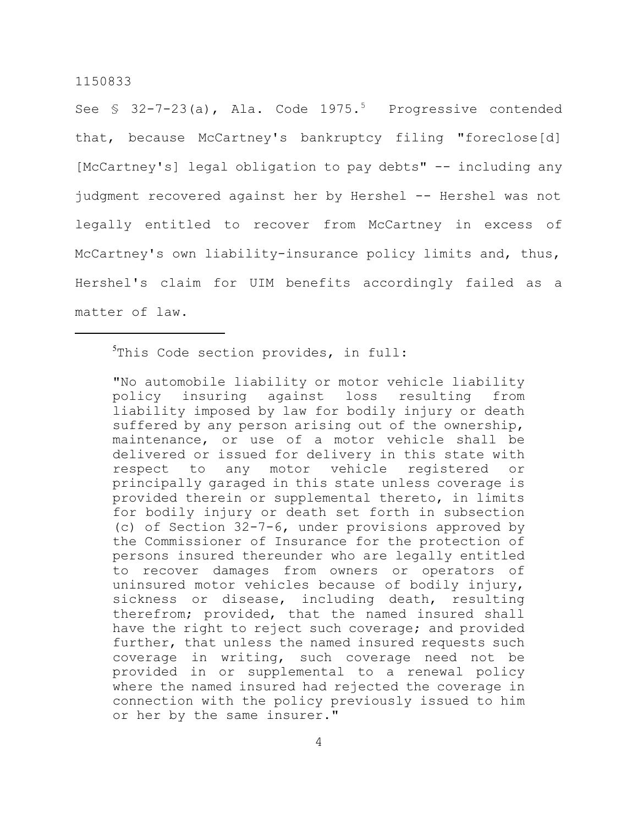See  $\text{\$}$  32-7-23(a), Ala. Code 1975.<sup>5</sup> Progressive contended that, because McCartney's bankruptcy filing "foreclose[d] [McCartney's] legal obligation to pay debts" -- including any judgment recovered against her by Hershel -- Hershel was not legally entitled to recover from McCartney in excess of McCartney's own liability-insurance policy limits and, thus, Hershel's claim for UIM benefits accordingly failed as a matter of law.

<sup>5</sup>This Code section provides, in full:

"No automobile liability or motor vehicle liability policy insuring against loss resulting from liability imposed by law for bodily injury or death suffered by any person arising out of the ownership, maintenance, or use of a motor vehicle shall be delivered or issued for delivery in this state with respect to any motor vehicle registered or principally garaged in this state unless coverage is provided therein or supplemental thereto, in limits for bodily injury or death set forth in subsection (c) of Section 32-7-6, under provisions approved by the Commissioner of Insurance for the protection of persons insured thereunder who are legally entitled to recover damages from owners or operators of uninsured motor vehicles because of bodily injury, sickness or disease, including death, resulting therefrom; provided, that the named insured shall have the right to reject such coverage; and provided further, that unless the named insured requests such coverage in writing, such coverage need not be provided in or supplemental to a renewal policy where the named insured had rejected the coverage in connection with the policy previously issued to him or her by the same insurer."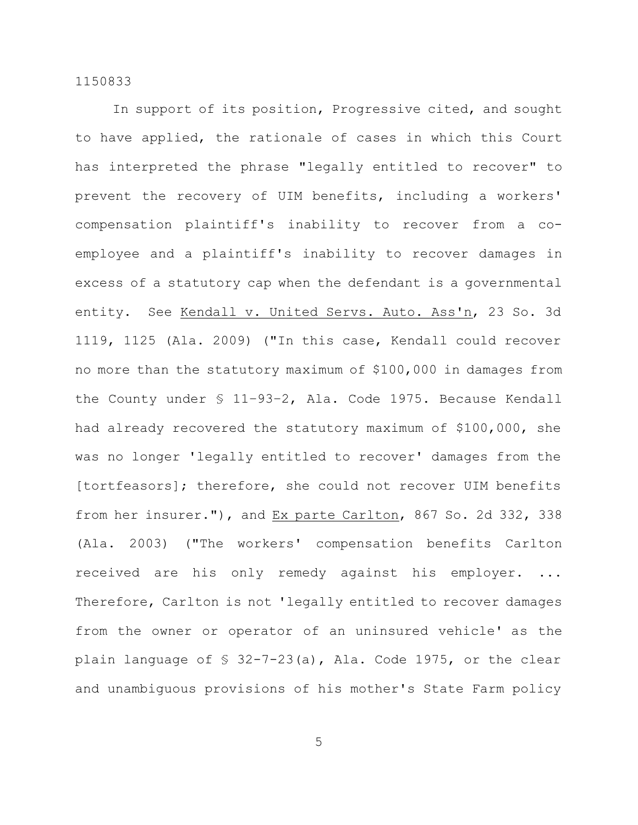In support of its position, Progressive cited, and sought to have applied, the rationale of cases in which this Court has interpreted the phrase "legally entitled to recover" to prevent the recovery of UIM benefits, including a workers' compensation plaintiff's inability to recover from a coemployee and a plaintiff's inability to recover damages in excess of a statutory cap when the defendant is a governmental entity. See Kendall v. United Servs. Auto. Ass'n, 23 So. 3d 1119, 1125 (Ala. 2009) ("In this case, Kendall could recover no more than the statutory maximum of \$100,000 in damages from the County under § 11–93–2, Ala. Code 1975. Because Kendall had already recovered the statutory maximum of \$100,000, she was no longer 'legally entitled to recover' damages from the [tortfeasors]; therefore, she could not recover UIM benefits from her insurer."), and Ex parte Carlton, 867 So. 2d 332, 338 (Ala. 2003) ("The workers' compensation benefits Carlton received are his only remedy against his employer. ... Therefore, Carlton is not 'legally entitled to recover damages from the owner or operator of an uninsured vehicle' as the plain language of § 32-7-23(a), Ala. Code 1975, or the clear and unambiguous provisions of his mother's State Farm policy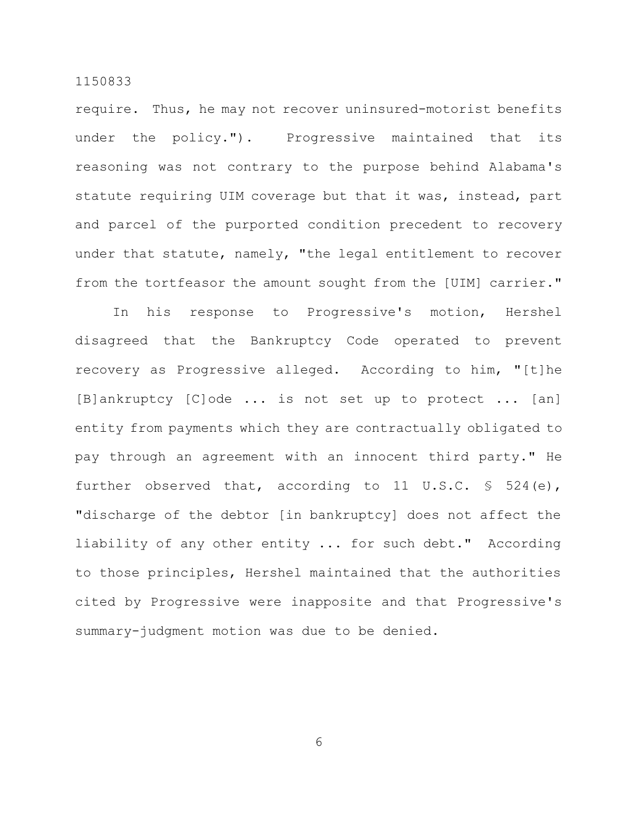require. Thus, he may not recover uninsured-motorist benefits under the policy."). Progressive maintained that its reasoning was not contrary to the purpose behind Alabama's statute requiring UIM coverage but that it was, instead, part and parcel of the purported condition precedent to recovery under that statute, namely, "the legal entitlement to recover from the tortfeasor the amount sought from the [UIM] carrier."

In his response to Progressive's motion, Hershel disagreed that the Bankruptcy Code operated to prevent recovery as Progressive alleged. According to him, "[t]he [B]ankruptcy [C]ode ... is not set up to protect ... [an] entity from payments which they are contractually obligated to pay through an agreement with an innocent third party." He further observed that, according to 11 U.S.C. § 524(e), "discharge of the debtor [in bankruptcy] does not affect the liability of any other entity ... for such debt." According to those principles, Hershel maintained that the authorities cited by Progressive were inapposite and that Progressive's summary-judgment motion was due to be denied.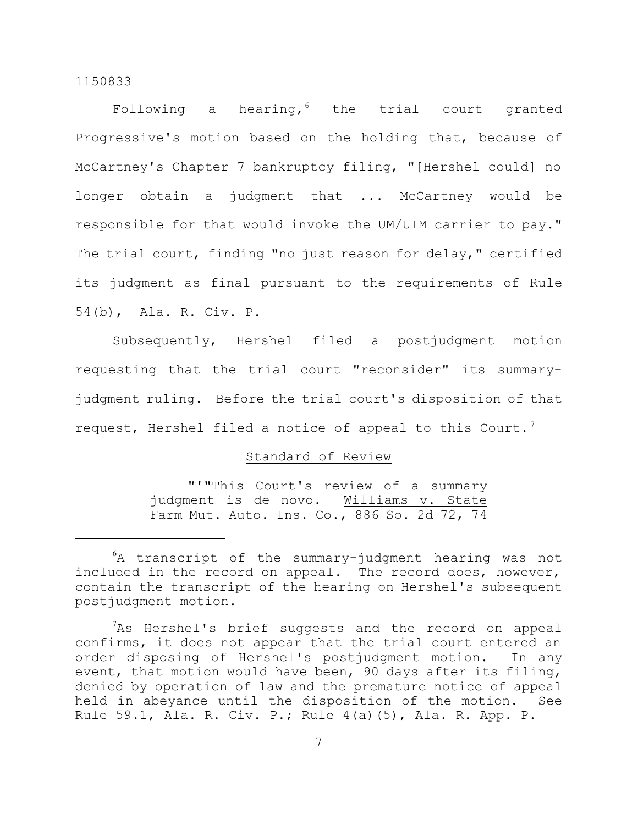Following a hearing, the trial court granted Progressive's motion based on the holding that, because of McCartney's Chapter 7 bankruptcy filing, "[Hershel could] no longer obtain a judgment that ... McCartney would be responsible for that would invoke the UM/UIM carrier to pay." The trial court, finding "no just reason for delay," certified its judgment as final pursuant to the requirements of Rule 54(b), Ala. R. Civ. P.

Subsequently, Hershel filed a postjudgment motion requesting that the trial court "reconsider" its summaryjudgment ruling. Before the trial court's disposition of that request, Hershel filed a notice of appeal to this Court.<sup>7</sup>

#### Standard of Review

"'"This Court's review of a summary judgment is de novo. Williams v. State Farm Mut. Auto. Ins. Co., 886 So. 2d 72, 74

<sup>6</sup>A transcript of the summary-judgment hearing was not included in the record on appeal. The record does, however, contain the transcript of the hearing on Hershel's subsequent postjudgment motion.

 $7$ As Hershel's brief suggests and the record on appeal confirms, it does not appear that the trial court entered an order disposing of Hershel's postjudgment motion. In any event, that motion would have been, 90 days after its filing, denied by operation of law and the premature notice of appeal held in abeyance until the disposition of the motion. See Rule 59.1, Ala. R. Civ. P.; Rule 4(a)(5), Ala. R. App. P.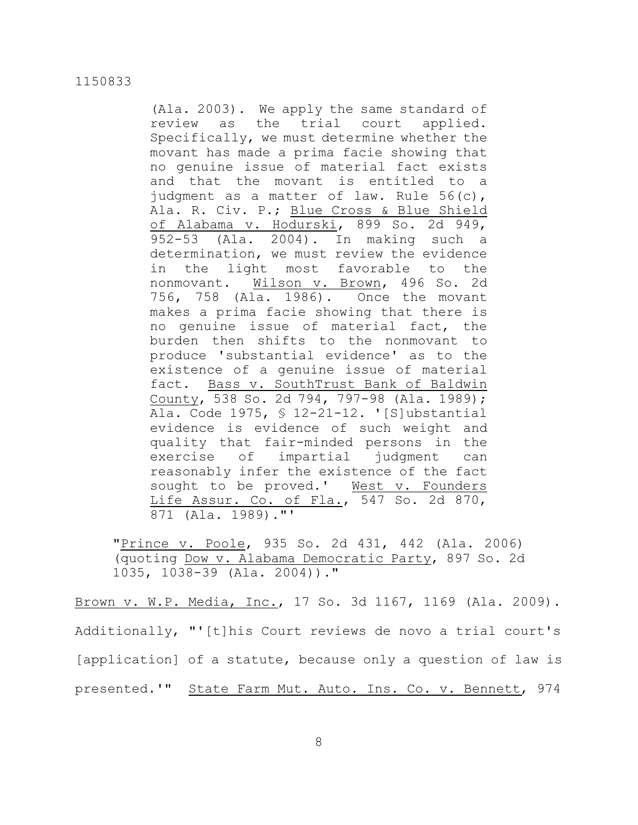(Ala. 2003). We apply the same standard of review as the trial court applied. Specifically, we must determine whether the movant has made a prima facie showing that no genuine issue of material fact exists and that the movant is entitled to a judgment as a matter of law. Rule 56(c), Ala. R. Civ. P.; Blue Cross & Blue Shield of Alabama v. Hodurski, 899 So. 2d 949, 952-53 (Ala. 2004). In making such a determination, we must review the evidence in the light most favorable to the nonmovant. Wilson v. Brown, 496 So. 2d 756, 758 (Ala. 1986). Once the movant makes a prima facie showing that there is no genuine issue of material fact, the burden then shifts to the nonmovant to produce 'substantial evidence' as to the existence of a genuine issue of material fact. Bass v. SouthTrust Bank of Baldwin County, 538 So. 2d 794, 797-98 (Ala. 1989); Ala. Code 1975, § 12-21-12. '[S]ubstantial evidence is evidence of such weight and quality that fair-minded persons in the exercise of impartial judgment can reasonably infer the existence of the fact sought to be proved.' West v. Founders Life Assur. Co. of Fla., 547 So. 2d 870, 871 (Ala. 1989)."'

"Prince v. Poole, 935 So. 2d 431, 442 (Ala. 2006) (quoting Dow v. Alabama Democratic Party, 897 So. 2d 1035, 1038-39 (Ala. 2004))."

Brown v. W.P. Media, Inc., 17 So. 3d 1167, 1169 (Ala. 2009). Additionally, "'[t]his Court reviews de novo a trial court's [application] of a statute, because only a question of law is presented.'" State Farm Mut. Auto. Ins. Co. v. Bennett, 974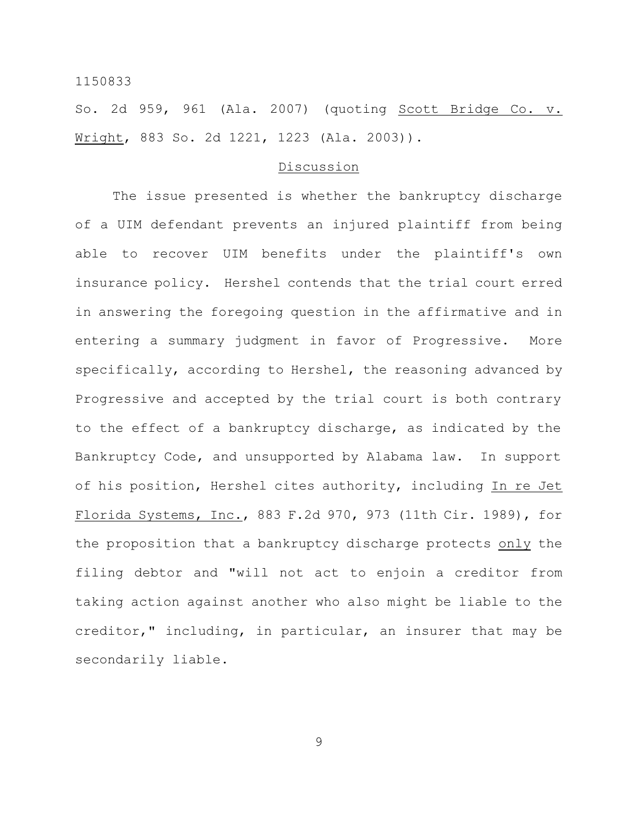So. 2d 959, 961 (Ala. 2007) (quoting Scott Bridge Co. v. Wright, 883 So. 2d 1221, 1223 (Ala. 2003)).

#### Discussion

The issue presented is whether the bankruptcy discharge of a UIM defendant prevents an injured plaintiff from being able to recover UIM benefits under the plaintiff's own insurance policy. Hershel contends that the trial court erred in answering the foregoing question in the affirmative and in entering a summary judgment in favor of Progressive. More specifically, according to Hershel, the reasoning advanced by Progressive and accepted by the trial court is both contrary to the effect of a bankruptcy discharge, as indicated by the Bankruptcy Code, and unsupported by Alabama law. In support of his position, Hershel cites authority, including In re Jet Florida Systems, Inc., 883 F.2d 970, 973 (11th Cir. 1989), for the proposition that a bankruptcy discharge protects only the filing debtor and "will not act to enjoin a creditor from taking action against another who also might be liable to the creditor," including, in particular, an insurer that may be secondarily liable.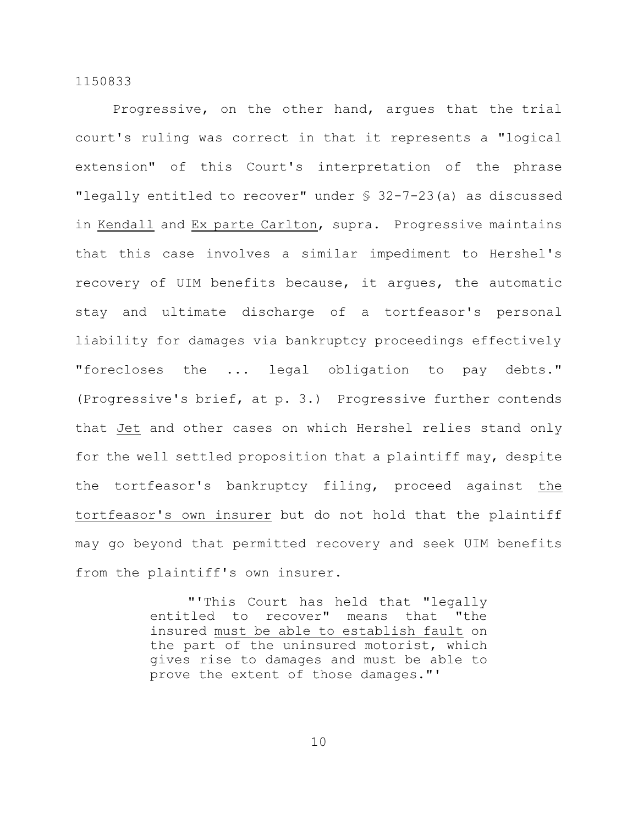Progressive, on the other hand, argues that the trial court's ruling was correct in that it represents a "logical extension" of this Court's interpretation of the phrase "legally entitled to recover" under § 32-7-23(a) as discussed in Kendall and Ex parte Carlton, supra. Progressive maintains that this case involves a similar impediment to Hershel's recovery of UIM benefits because, it argues, the automatic stay and ultimate discharge of a tortfeasor's personal liability for damages via bankruptcy proceedings effectively "forecloses the ... legal obligation to pay debts." (Progressive's brief, at p. 3.) Progressive further contends that Jet and other cases on which Hershel relies stand only for the well settled proposition that a plaintiff may, despite the tortfeasor's bankruptcy filing, proceed against the tortfeasor's own insurer but do not hold that the plaintiff may go beyond that permitted recovery and seek UIM benefits from the plaintiff's own insurer.

> "'This Court has held that "legally entitled to recover" means that "the insured must be able to establish fault on the part of the uninsured motorist, which gives rise to damages and must be able to prove the extent of those damages."'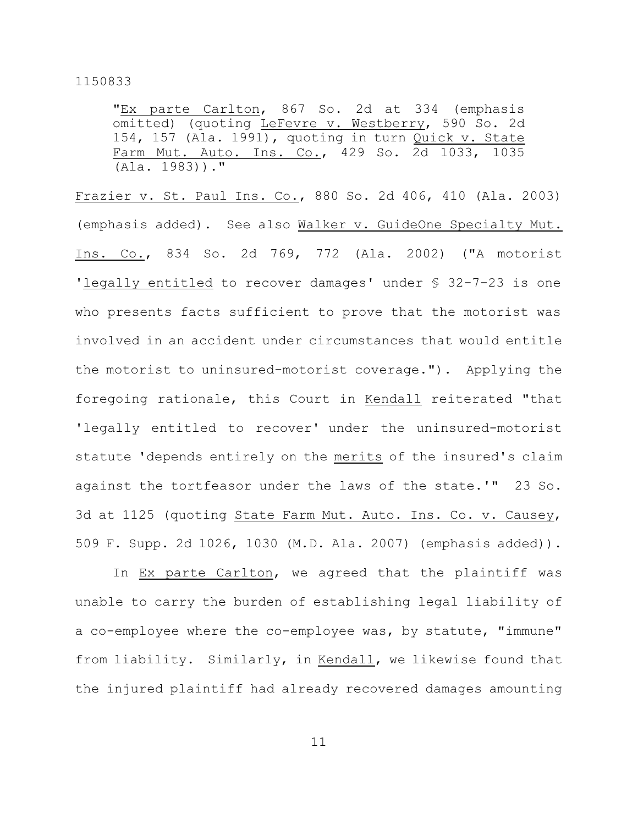"Ex parte Carlton, 867 So. 2d at 334 (emphasis omitted) (quoting LeFevre v. Westberry, 590 So. 2d 154, 157 (Ala. 1991), quoting in turn Quick v. State Farm Mut. Auto. Ins. Co., 429 So. 2d 1033, 1035 (Ala. 1983))."

Frazier v. St. Paul Ins. Co., 880 So. 2d 406, 410 (Ala. 2003) (emphasis added). See also Walker v. GuideOne Specialty Mut. Ins. Co., 834 So. 2d 769, 772 (Ala. 2002) ("A motorist 'legally entitled to recover damages' under § 32-7-23 is one who presents facts sufficient to prove that the motorist was involved in an accident under circumstances that would entitle the motorist to uninsured-motorist coverage."). Applying the foregoing rationale, this Court in Kendall reiterated "that 'legally entitled to recover' under the uninsured-motorist statute 'depends entirely on the merits of the insured's claim against the tortfeasor under the laws of the state.'" 23 So. 3d at 1125 (quoting State Farm Mut. Auto. Ins. Co. v. Causey, 509 F. Supp. 2d 1026, 1030 (M.D. Ala. 2007) (emphasis added)).

In Ex parte Carlton, we agreed that the plaintiff was unable to carry the burden of establishing legal liability of a co-employee where the co-employee was, by statute, "immune" from liability. Similarly, in Kendall, we likewise found that the injured plaintiff had already recovered damages amounting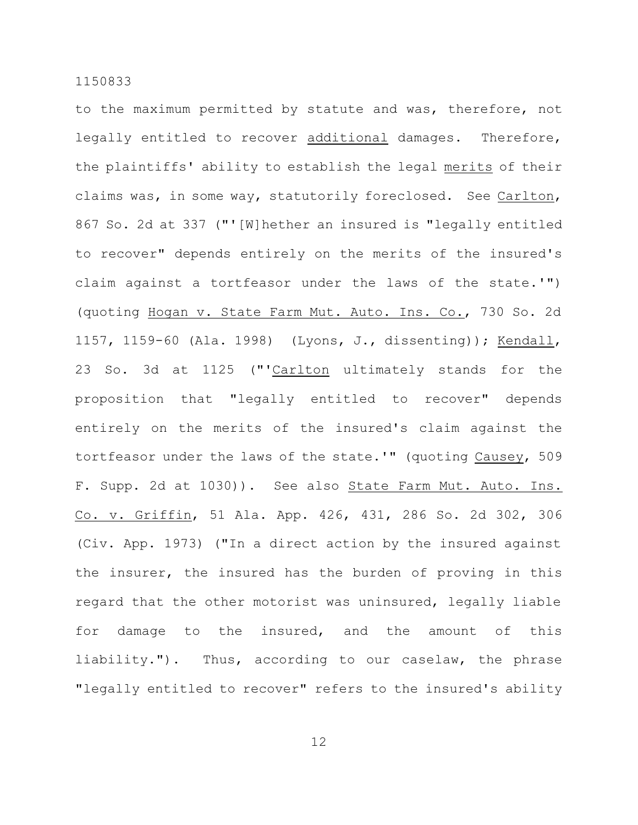to the maximum permitted by statute and was, therefore, not legally entitled to recover additional damages. Therefore, the plaintiffs' ability to establish the legal merits of their claims was, in some way, statutorily foreclosed. See Carlton, 867 So. 2d at 337 ("'[W]hether an insured is "legally entitled to recover" depends entirely on the merits of the insured's claim against a tortfeasor under the laws of the state.'") (quoting Hogan v. State Farm Mut. Auto. Ins. Co., 730 So. 2d 1157, 1159-60 (Ala. 1998) (Lyons, J., dissenting)); Kendall, 23 So. 3d at 1125 ("'Carlton ultimately stands for the proposition that "legally entitled to recover" depends entirely on the merits of the insured's claim against the tortfeasor under the laws of the state.'" (quoting Causey, 509 F. Supp. 2d at 1030)). See also State Farm Mut. Auto. Ins. Co. v. Griffin, 51 Ala. App. 426, 431, 286 So. 2d 302, 306 (Civ. App. 1973) ("In a direct action by the insured against the insurer, the insured has the burden of proving in this regard that the other motorist was uninsured, legally liable for damage to the insured, and the amount of this liability."). Thus, according to our caselaw, the phrase "legally entitled to recover" refers to the insured's ability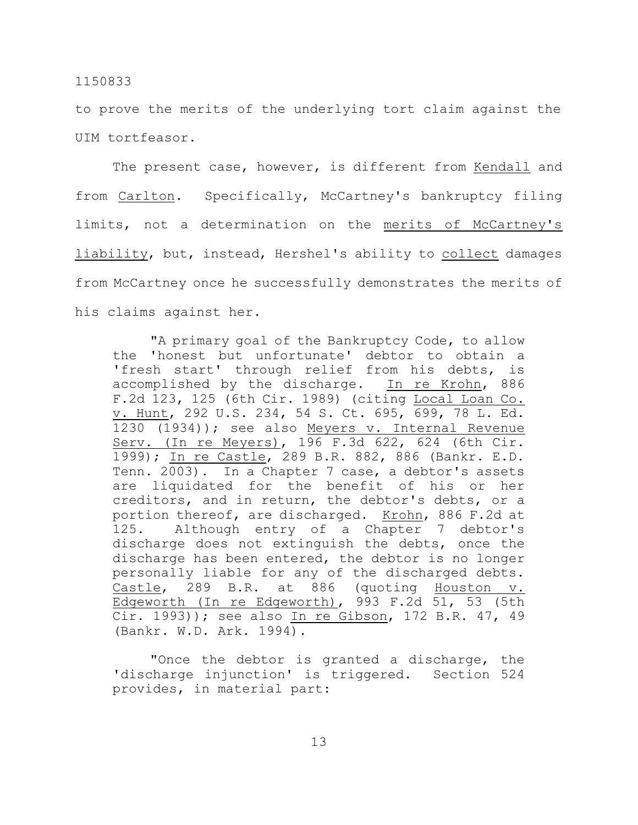to prove the merits of the underlying tort claim against the UIM tortfeasor.

The present case, however, is different from Kendall and from Carlton. Specifically, McCartney's bankruptcy filing limits, not a determination on the merits of McCartney's liability, but, instead, Hershel's ability to collect damages from McCartney once he successfully demonstrates the merits of his claims against her.

"A primary goal of the Bankruptcy Code, to allow the 'honest but unfortunate' debtor to obtain a 'fresh start' through relief from his debts, is accomplished by the discharge. In re Krohn, 886 F.2d 123, 125 (6th Cir. 1989) (citing Local Loan Co. v. Hunt, 292 U.S. 234, 54 S. Ct. 695, 699, 78 L. Ed. 1230 (1934)); see also Meyers v. Internal Revenue Serv. (In re Meyers), 196 F.3d 622, 624 (6th Cir. 1999); In re Castle, 289 B.R. 882, 886 (Bankr. E.D. Tenn. 2003). In a Chapter 7 case, a debtor's assets are liquidated for the benefit of his or her creditors, and in return, the debtor's debts, or a portion thereof, are discharged. Krohn, 886 F.2d at 125. Although entry of a Chapter 7 debtor's discharge does not extinguish the debts, once the discharge has been entered, the debtor is no longer personally liable for any of the discharged debts. Castle, 289 B.R. at 886 (quoting Houston v. Edgeworth (In re Edgeworth), 993 F.2d 51, 53 (5th Cir. 1993)); see also In re Gibson, 172 B.R. 47, 49 (Bankr. W.D. Ark. 1994).

"Once the debtor is granted a discharge, the 'discharge injunction' is triggered. Section 524 provides, in material part: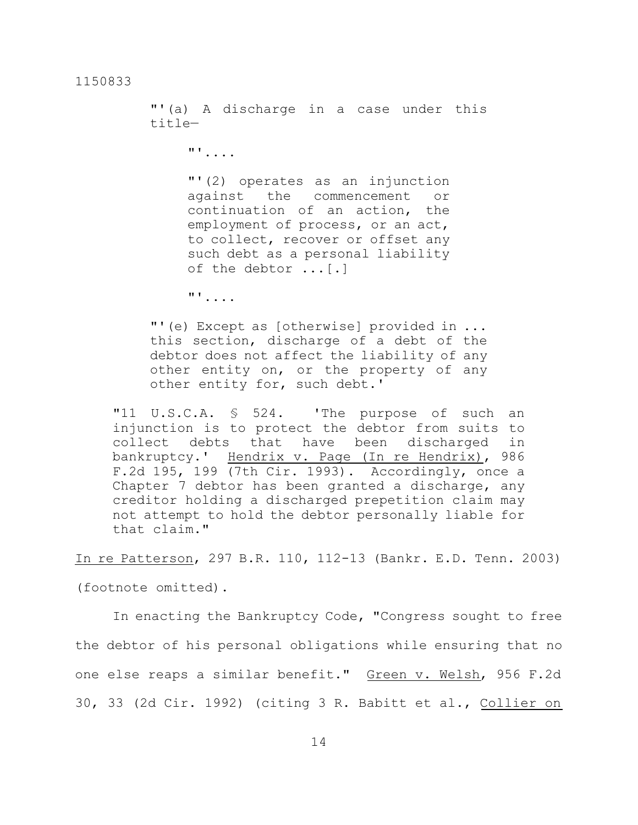"'(a) A discharge in a case under this title—

"'....

"'(2) operates as an injunction against the commencement or continuation of an action, the employment of process, or an act, to collect, recover or offset any such debt as a personal liability of the debtor ...[.]

"'....

"'(e) Except as [otherwise] provided in ... this section, discharge of a debt of the debtor does not affect the liability of any other entity on, or the property of any other entity for, such debt.'

"11 U.S.C.A. § 524. 'The purpose of such an injunction is to protect the debtor from suits to collect debts that have been discharged in bankruptcy.' Hendrix v. Page (In re Hendrix), 986 F.2d 195, 199 (7th Cir. 1993). Accordingly, once a Chapter 7 debtor has been granted a discharge, any creditor holding a discharged prepetition claim may not attempt to hold the debtor personally liable for that claim."

In re Patterson, 297 B.R. 110, 112-13 (Bankr. E.D. Tenn. 2003) (footnote omitted).

In enacting the Bankruptcy Code, "Congress sought to free the debtor of his personal obligations while ensuring that no one else reaps a similar benefit." Green v. Welsh, 956 F.2d 30, 33 (2d Cir. 1992) (citing 3 R. Babitt et al., Collier on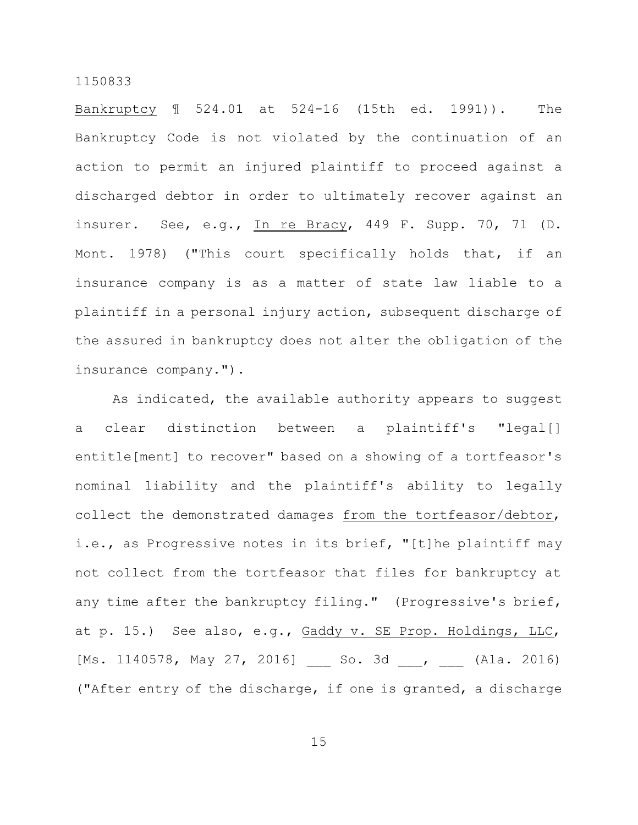Bankruptcy ¶ 524.01 at 524-16 (15th ed. 1991)). The Bankruptcy Code is not violated by the continuation of an action to permit an injured plaintiff to proceed against a discharged debtor in order to ultimately recover against an insurer. See, e.g., In re Bracy, 449 F. Supp. 70, 71 (D. Mont. 1978) ("This court specifically holds that, if an insurance company is as a matter of state law liable to a plaintiff in a personal injury action, subsequent discharge of the assured in bankruptcy does not alter the obligation of the insurance company.").

As indicated, the available authority appears to suggest a clear distinction between a plaintiff's "legal[] entitle[ment] to recover" based on a showing of a tortfeasor's nominal liability and the plaintiff's ability to legally collect the demonstrated damages from the tortfeasor/debtor, i.e., as Progressive notes in its brief, "[t]he plaintiff may not collect from the tortfeasor that files for bankruptcy at any time after the bankruptcy filing." (Progressive's brief, at p. 15.) See also, e.g., Gaddy v. SE Prop. Holdings, LLC, [Ms. 1140578, May 27, 2016] \_\_\_ So. 3d \_\_\_, \_\_\_ (Ala. 2016) ("After entry of the discharge, if one is granted, a discharge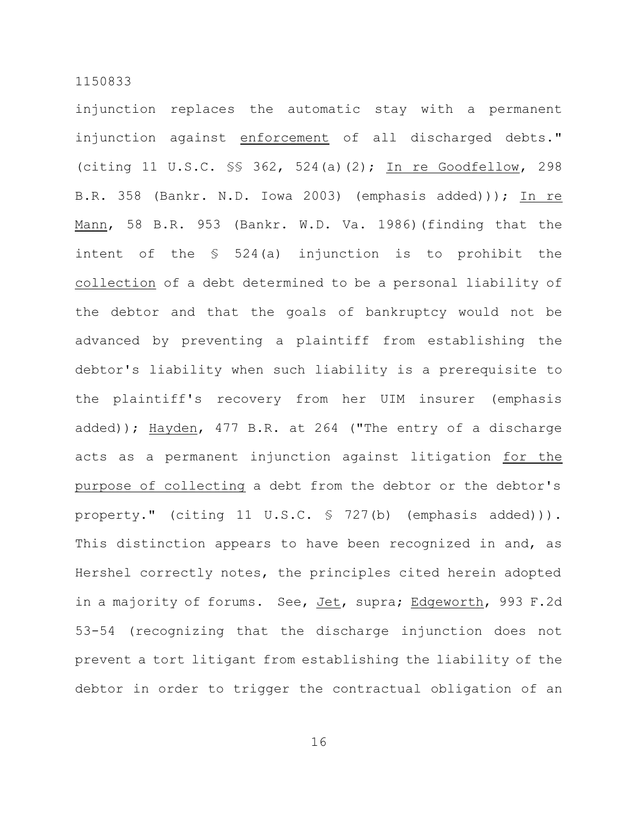injunction replaces the automatic stay with a permanent injunction against enforcement of all discharged debts." (citing 11 U.S.C. §§ 362, 524(a)(2); In re Goodfellow, 298 B.R. 358 (Bankr. N.D. Iowa 2003) (emphasis added))); In re Mann, 58 B.R. 953 (Bankr. W.D. Va. 1986)(finding that the intent of the § 524(a) injunction is to prohibit the collection of a debt determined to be a personal liability of the debtor and that the goals of bankruptcy would not be advanced by preventing a plaintiff from establishing the debtor's liability when such liability is a prerequisite to the plaintiff's recovery from her UIM insurer (emphasis added)); Hayden, 477 B.R. at 264 ("The entry of a discharge acts as a permanent injunction against litigation for the purpose of collecting a debt from the debtor or the debtor's property." (citing 11 U.S.C. § 727(b) (emphasis added))). This distinction appears to have been recognized in and, as Hershel correctly notes, the principles cited herein adopted in a majority of forums. See, Jet, supra; Edgeworth, 993 F.2d 53-54 (recognizing that the discharge injunction does not prevent a tort litigant from establishing the liability of the debtor in order to trigger the contractual obligation of an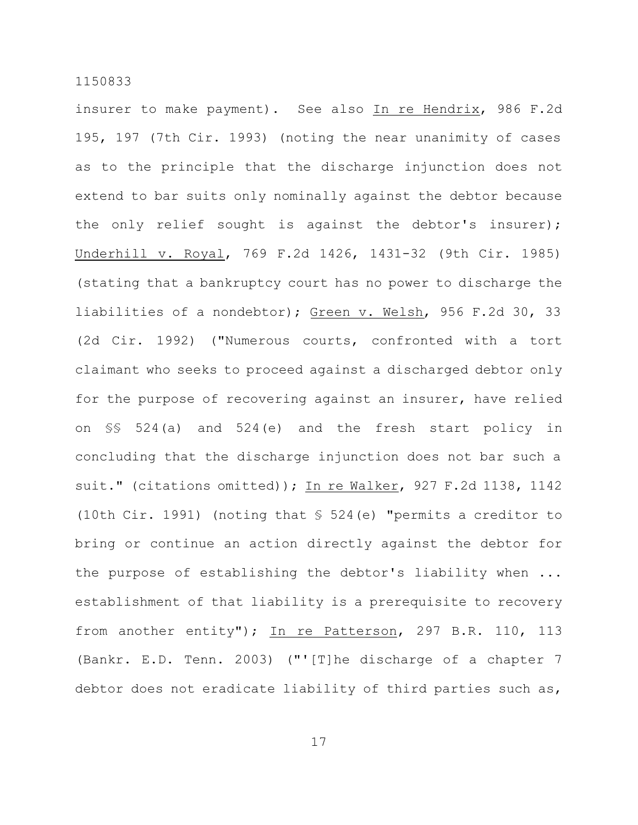insurer to make payment). See also In re Hendrix, 986 F.2d 195, 197 (7th Cir. 1993) (noting the near unanimity of cases as to the principle that the discharge injunction does not extend to bar suits only nominally against the debtor because the only relief sought is against the debtor's insurer); Underhill v. Royal, 769 F.2d 1426, 1431-32 (9th Cir. 1985) (stating that a bankruptcy court has no power to discharge the liabilities of a nondebtor); Green v. Welsh, 956 F.2d 30, 33 (2d Cir. 1992) ("Numerous courts, confronted with a tort claimant who seeks to proceed against a discharged debtor only for the purpose of recovering against an insurer, have relied on §§ 524(a) and 524(e) and the fresh start policy in concluding that the discharge injunction does not bar such a suit." (citations omitted)); In re Walker, 927 F.2d 1138, 1142 (10th Cir. 1991) (noting that § 524(e) "permits a creditor to bring or continue an action directly against the debtor for the purpose of establishing the debtor's liability when ... establishment of that liability is a prerequisite to recovery from another entity"); In re Patterson, 297 B.R. 110, 113 (Bankr. E.D. Tenn. 2003) ("'[T]he discharge of a chapter 7 debtor does not eradicate liability of third parties such as,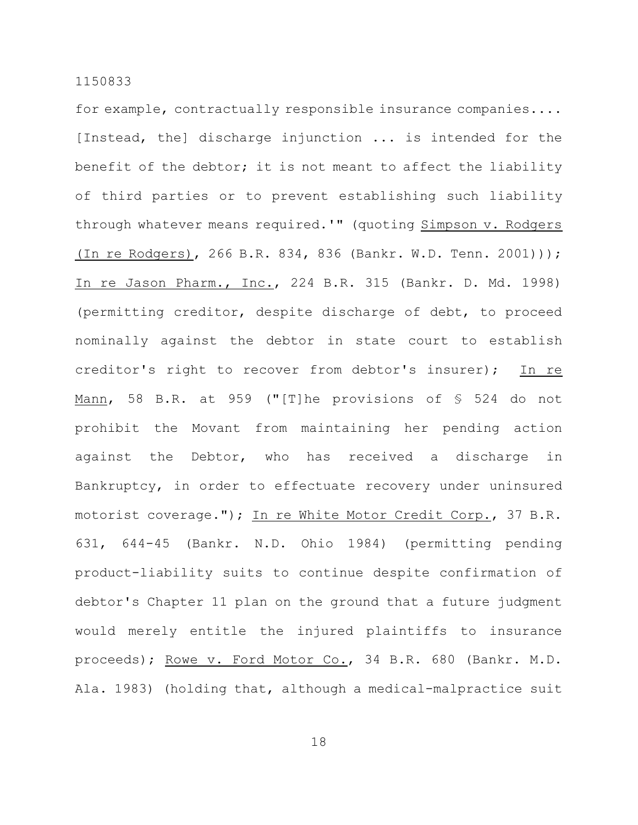for example, contractually responsible insurance companies.... [Instead, the] discharge injunction ... is intended for the benefit of the debtor; it is not meant to affect the liability of third parties or to prevent establishing such liability through whatever means required.'" (quoting Simpson v. Rodgers (In re Rodgers), 266 B.R. 834, 836 (Bankr. W.D. Tenn. 2001))); In re Jason Pharm., Inc., 224 B.R. 315 (Bankr. D. Md. 1998) (permitting creditor, despite discharge of debt, to proceed nominally against the debtor in state court to establish creditor's right to recover from debtor's insurer); In re Mann, 58 B.R. at 959 ("[T]he provisions of § 524 do not prohibit the Movant from maintaining her pending action against the Debtor, who has received a discharge in Bankruptcy, in order to effectuate recovery under uninsured motorist coverage."); In re White Motor Credit Corp., 37 B.R. 631, 644-45 (Bankr. N.D. Ohio 1984) (permitting pending product-liability suits to continue despite confirmation of debtor's Chapter 11 plan on the ground that a future judgment would merely entitle the injured plaintiffs to insurance proceeds); Rowe v. Ford Motor Co., 34 B.R. 680 (Bankr. M.D. Ala. 1983) (holding that, although a medical-malpractice suit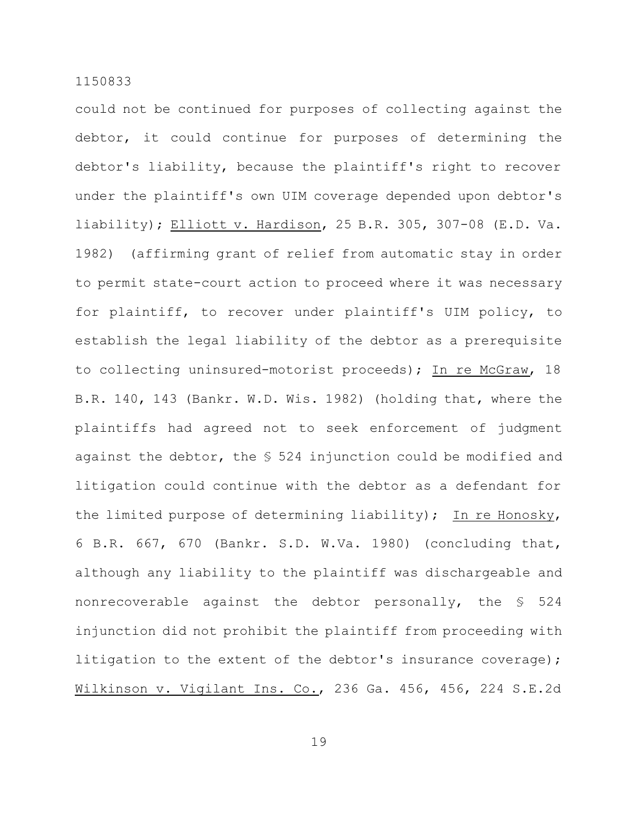could not be continued for purposes of collecting against the debtor, it could continue for purposes of determining the debtor's liability, because the plaintiff's right to recover under the plaintiff's own UIM coverage depended upon debtor's liability); Elliott v. Hardison, 25 B.R. 305, 307-08 (E.D. Va. 1982) (affirming grant of relief from automatic stay in order to permit state-court action to proceed where it was necessary for plaintiff, to recover under plaintiff's UIM policy, to establish the legal liability of the debtor as a prerequisite to collecting uninsured-motorist proceeds); In re McGraw, 18 B.R. 140, 143 (Bankr. W.D. Wis. 1982) (holding that, where the plaintiffs had agreed not to seek enforcement of judgment against the debtor, the § 524 injunction could be modified and litigation could continue with the debtor as a defendant for the limited purpose of determining liability); In re Honosky, 6 B.R. 667, 670 (Bankr. S.D. W.Va. 1980) (concluding that, although any liability to the plaintiff was dischargeable and nonrecoverable against the debtor personally, the § 524 injunction did not prohibit the plaintiff from proceeding with litigation to the extent of the debtor's insurance coverage); Wilkinson v. Vigilant Ins. Co., 236 Ga. 456, 456, 224 S.E.2d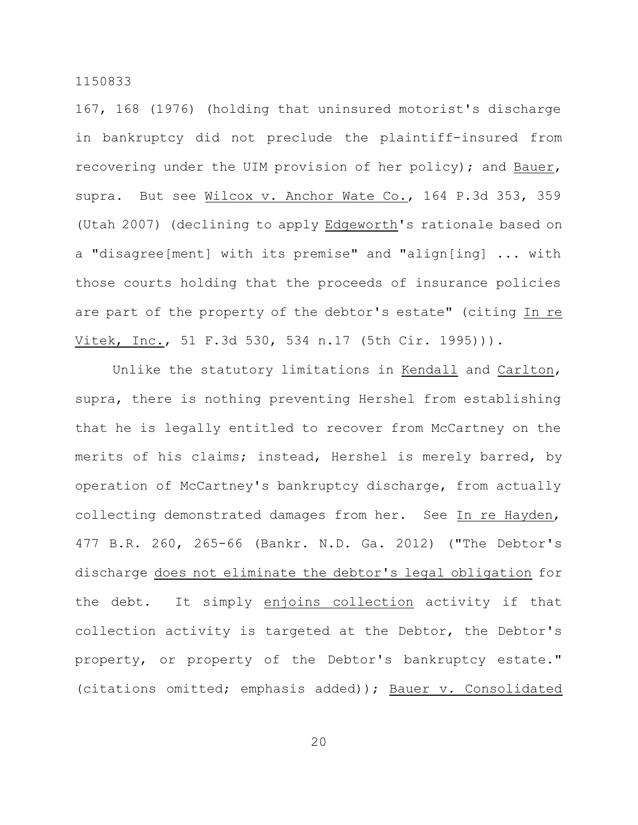167, 168 (1976) (holding that uninsured motorist's discharge in bankruptcy did not preclude the plaintiff-insured from recovering under the UIM provision of her policy); and Bauer, supra. But see Wilcox v. Anchor Wate Co., 164 P.3d 353, 359 (Utah 2007) (declining to apply Edgeworth's rationale based on a "disagree[ment] with its premise" and "align[ing] ... with those courts holding that the proceeds of insurance policies are part of the property of the debtor's estate" (citing In re Vitek, Inc., 51 F.3d 530, 534 n.17 (5th Cir. 1995))).

Unlike the statutory limitations in Kendall and Carlton, supra, there is nothing preventing Hershel from establishing that he is legally entitled to recover from McCartney on the merits of his claims; instead, Hershel is merely barred, by operation of McCartney's bankruptcy discharge, from actually collecting demonstrated damages from her. See In re Hayden, 477 B.R. 260, 265-66 (Bankr. N.D. Ga. 2012) ("The Debtor's discharge does not eliminate the debtor's legal obligation for the debt. It simply enjoins collection activity if that collection activity is targeted at the Debtor, the Debtor's property, or property of the Debtor's bankruptcy estate." (citations omitted; emphasis added)); Bauer v. Consolidated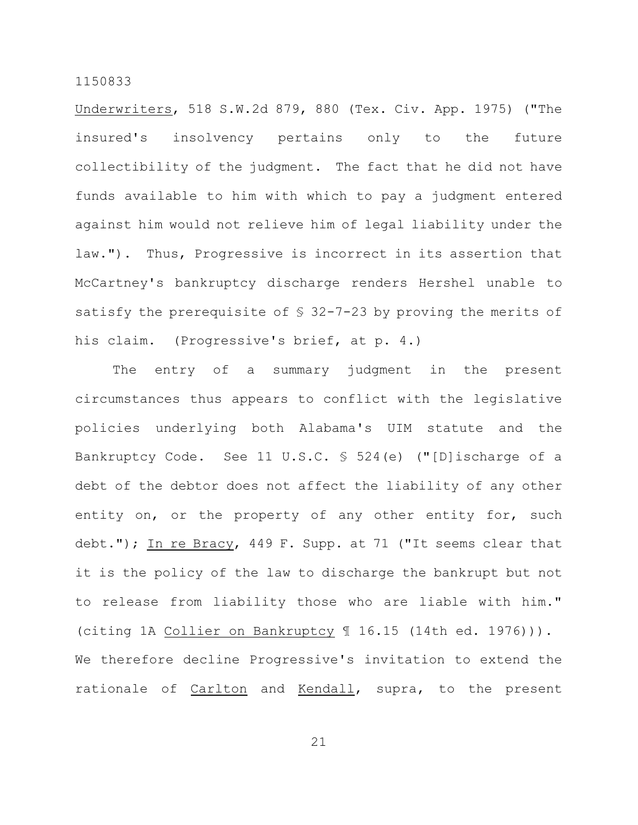Underwriters, 518 S.W.2d 879, 880 (Tex. Civ. App. 1975) ("The insured's insolvency pertains only to the future collectibility of the judgment. The fact that he did not have funds available to him with which to pay a judgment entered against him would not relieve him of legal liability under the law."). Thus, Progressive is incorrect in its assertion that McCartney's bankruptcy discharge renders Hershel unable to satisfy the prerequisite of § 32-7-23 by proving the merits of his claim. (Progressive's brief, at p. 4.)

The entry of a summary judgment in the present circumstances thus appears to conflict with the legislative policies underlying both Alabama's UIM statute and the Bankruptcy Code. See 11 U.S.C. § 524(e) ("[D]ischarge of a debt of the debtor does not affect the liability of any other entity on, or the property of any other entity for, such debt."); In re Bracy, 449 F. Supp. at 71 ("It seems clear that it is the policy of the law to discharge the bankrupt but not to release from liability those who are liable with him." (citing 1A Collier on Bankruptcy ¶ 16.15 (14th ed. 1976))). We therefore decline Progressive's invitation to extend the rationale of Carlton and Kendall, supra, to the present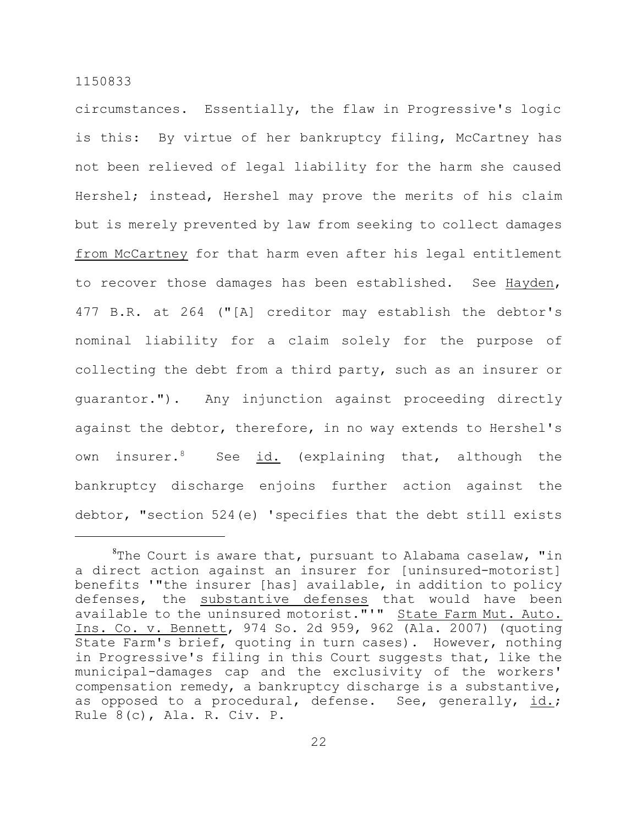circumstances. Essentially, the flaw in Progressive's logic is this: By virtue of her bankruptcy filing, McCartney has not been relieved of legal liability for the harm she caused Hershel; instead, Hershel may prove the merits of his claim but is merely prevented by law from seeking to collect damages from McCartney for that harm even after his legal entitlement to recover those damages has been established. See Hayden, 477 B.R. at 264 ("[A] creditor may establish the debtor's nominal liability for a claim solely for the purpose of collecting the debt from a third party, such as an insurer or guarantor."). Any injunction against proceeding directly against the debtor, therefore, in no way extends to Hershel's own insurer.<sup>8</sup> See id. (explaining that, although the bankruptcy discharge enjoins further action against the debtor, "section 524(e) 'specifies that the debt still exists

 ${}^{8}$ The Court is aware that, pursuant to Alabama caselaw, "in a direct action against an insurer for [uninsured-motorist] benefits '"the insurer [has] available, in addition to policy defenses, the substantive defenses that would have been available to the uninsured motorist."'" State Farm Mut. Auto. Ins. Co. v. Bennett, 974 So. 2d 959, 962 (Ala. 2007) (quoting State Farm's brief, quoting in turn cases). However, nothing in Progressive's filing in this Court suggests that, like the municipal-damages cap and the exclusivity of the workers' compensation remedy, a bankruptcy discharge is a substantive, as opposed to a procedural, defense. See, generally, id.; Rule 8(c), Ala. R. Civ. P.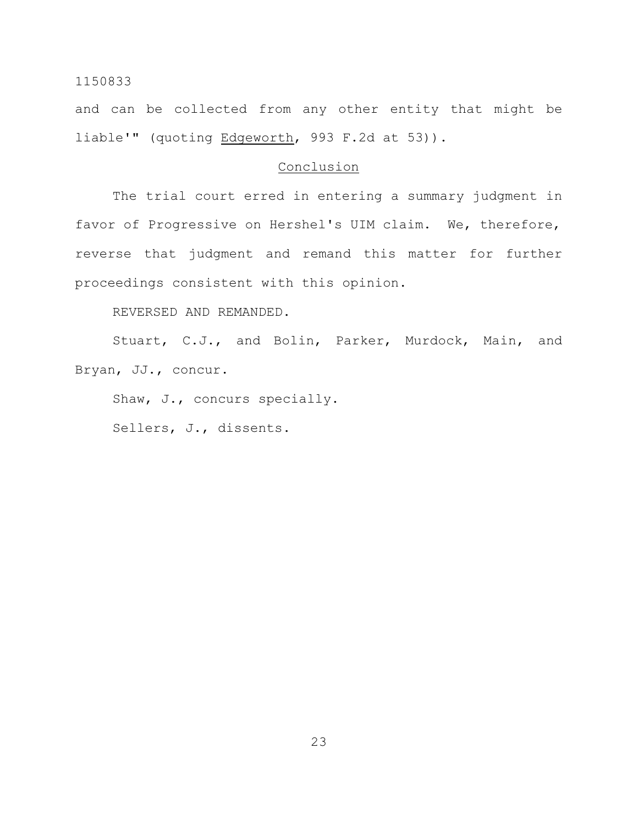and can be collected from any other entity that might be liable'" (quoting Edgeworth, 993 F.2d at 53)).

## Conclusion

The trial court erred in entering a summary judgment in favor of Progressive on Hershel's UIM claim. We, therefore, reverse that judgment and remand this matter for further proceedings consistent with this opinion.

REVERSED AND REMANDED.

Stuart, C.J., and Bolin, Parker, Murdock, Main, and Bryan, JJ., concur.

Shaw, J., concurs specially.

Sellers, J., dissents.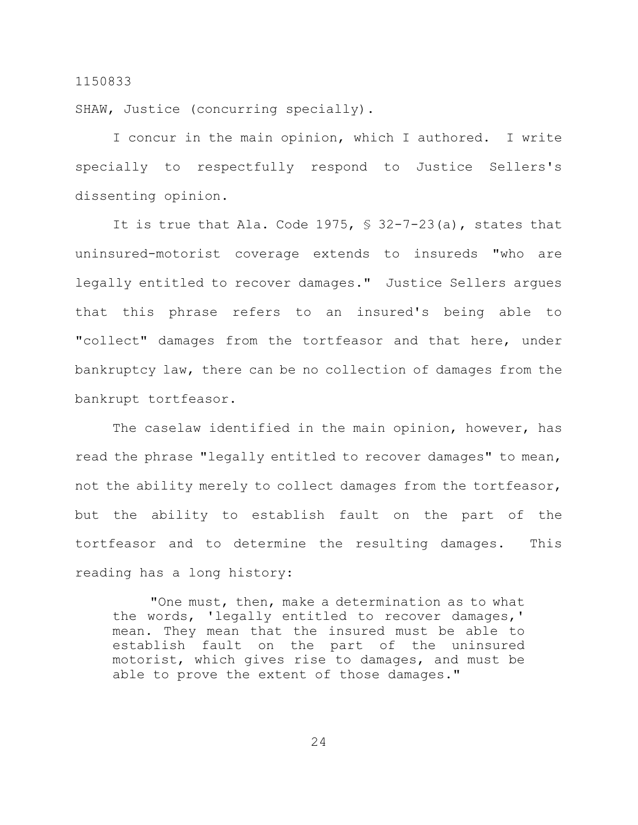SHAW, Justice (concurring specially).

I concur in the main opinion, which I authored. I write specially to respectfully respond to Justice Sellers's dissenting opinion.

It is true that Ala. Code 1975, § 32-7-23(a), states that uninsured-motorist coverage extends to insureds "who are legally entitled to recover damages." Justice Sellers argues that this phrase refers to an insured's being able to "collect" damages from the tortfeasor and that here, under bankruptcy law, there can be no collection of damages from the bankrupt tortfeasor.

The caselaw identified in the main opinion, however, has read the phrase "legally entitled to recover damages" to mean, not the ability merely to collect damages from the tortfeasor, but the ability to establish fault on the part of the tortfeasor and to determine the resulting damages. This reading has a long history:

"One must, then, make a determination as to what the words, 'legally entitled to recover damages,' mean. They mean that the insured must be able to establish fault on the part of the uninsured motorist, which gives rise to damages, and must be able to prove the extent of those damages."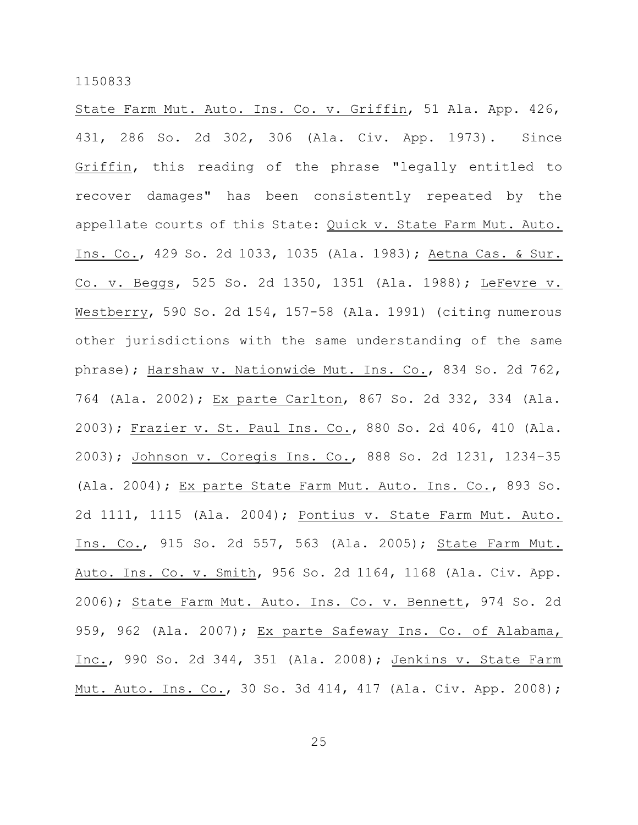State Farm Mut. Auto. Ins. Co. v. Griffin, 51 Ala. App. 426, 431, 286 So. 2d 302, 306 (Ala. Civ. App. 1973). Since Griffin, this reading of the phrase "legally entitled to recover damages" has been consistently repeated by the appellate courts of this State: Quick v. State Farm Mut. Auto. Ins. Co., 429 So. 2d 1033, 1035 (Ala. 1983); Aetna Cas. & Sur. Co. v. Beggs, 525 So. 2d 1350, 1351 (Ala. 1988); LeFevre v. Westberry, 590 So. 2d 154, 157-58 (Ala. 1991) (citing numerous other jurisdictions with the same understanding of the same phrase); Harshaw v. Nationwide Mut. Ins. Co., 834 So. 2d 762, 764 (Ala. 2002); Ex parte Carlton, 867 So. 2d 332, 334 (Ala. 2003); Frazier v. St. Paul Ins. Co., 880 So. 2d 406, 410 (Ala. 2003); Johnson v. Coregis Ins. Co., 888 So. 2d 1231, 1234–35 (Ala. 2004); Ex parte State Farm Mut. Auto. Ins. Co., 893 So. 2d 1111, 1115 (Ala. 2004); Pontius v. State Farm Mut. Auto. Ins. Co., 915 So. 2d 557, 563 (Ala. 2005); State Farm Mut. Auto. Ins. Co. v. Smith, 956 So. 2d 1164, 1168 (Ala. Civ. App. 2006); State Farm Mut. Auto. Ins. Co. v. Bennett, 974 So. 2d 959, 962 (Ala. 2007); Ex parte Safeway Ins. Co. of Alabama, Inc., 990 So. 2d 344, 351 (Ala. 2008); Jenkins v. State Farm Mut. Auto. Ins. Co., 30 So. 3d 414, 417 (Ala. Civ. App. 2008);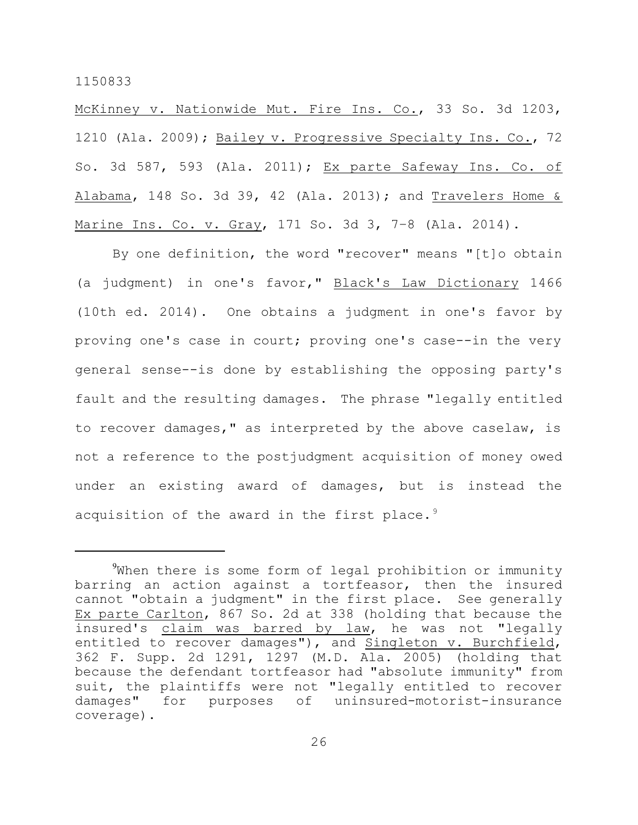McKinney v. Nationwide Mut. Fire Ins. Co., 33 So. 3d 1203, 1210 (Ala. 2009); Bailey v. Progressive Specialty Ins. Co., 72 So. 3d 587, 593 (Ala. 2011); Ex parte Safeway Ins. Co. of Alabama, 148 So. 3d 39, 42 (Ala. 2013); and Travelers Home & Marine Ins. Co. v. Gray, 171 So. 3d 3, 7-8 (Ala. 2014).

By one definition, the word "recover" means "[t]o obtain (a judgment) in one's favor," Black's Law Dictionary 1466 (10th ed. 2014). One obtains a judgment in one's favor by proving one's case in court; proving one's case--in the very general sense--is done by establishing the opposing party's fault and the resulting damages. The phrase "legally entitled to recover damages," as interpreted by the above caselaw, is not a reference to the postjudgment acquisition of money owed under an existing award of damages, but is instead the acquisition of the award in the first place.<sup>9</sup>

<sup>&</sup>lt;sup>9</sup>When there is some form of legal prohibition or immunity barring an action against a tortfeasor, then the insured cannot "obtain a judgment" in the first place. See generally Ex parte Carlton, 867 So. 2d at 338 (holding that because the insured's claim was barred by law, he was not "legally entitled to recover damages"), and Singleton v. Burchfield, 362 F. Supp. 2d 1291, 1297 (M.D. Ala. 2005) (holding that because the defendant tortfeasor had "absolute immunity" from suit, the plaintiffs were not "legally entitled to recover damages" for purposes of uninsured-motorist-insurance coverage).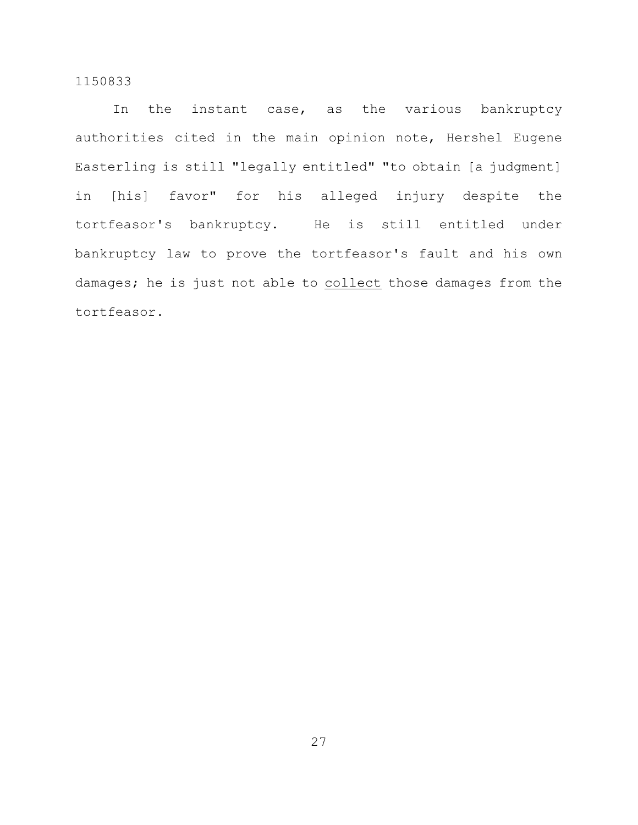In the instant case, as the various bankruptcy authorities cited in the main opinion note, Hershel Eugene Easterling is still "legally entitled" "to obtain [a judgment] in [his] favor" for his alleged injury despite the tortfeasor's bankruptcy. He is still entitled under bankruptcy law to prove the tortfeasor's fault and his own damages; he is just not able to collect those damages from the tortfeasor.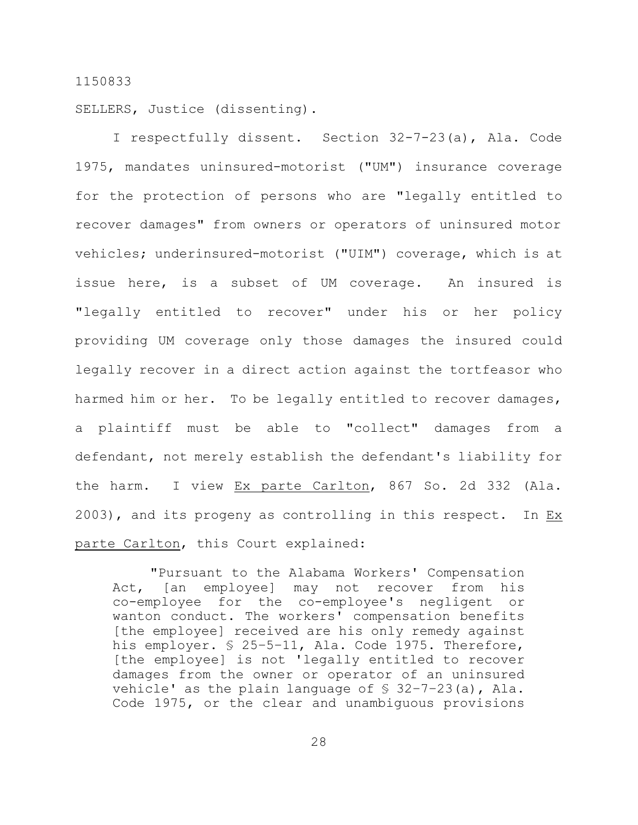SELLERS, Justice (dissenting).

I respectfully dissent. Section 32-7-23(a), Ala. Code 1975, mandates uninsured-motorist ("UM") insurance coverage for the protection of persons who are "legally entitled to recover damages" from owners or operators of uninsured motor vehicles; underinsured-motorist ("UIM") coverage, which is at issue here, is a subset of UM coverage. An insured is "legally entitled to recover" under his or her policy providing UM coverage only those damages the insured could legally recover in a direct action against the tortfeasor who harmed him or her. To be legally entitled to recover damages, a plaintiff must be able to "collect" damages from a defendant, not merely establish the defendant's liability for the harm. I view Ex parte Carlton, 867 So. 2d 332 (Ala. 2003), and its progeny as controlling in this respect. In Ex parte Carlton, this Court explained:

"Pursuant to the Alabama Workers' Compensation Act, [an employee] may not recover from his co-employee for the co-employee's negligent or wanton conduct. The workers' compensation benefits [the employee] received are his only remedy against his employer. § 25–5–11, Ala. Code 1975. Therefore, [the employee] is not 'legally entitled to recover damages from the owner or operator of an uninsured vehicle' as the plain language of  $\S$  32-7-23(a), Ala. Code 1975, or the clear and unambiguous provisions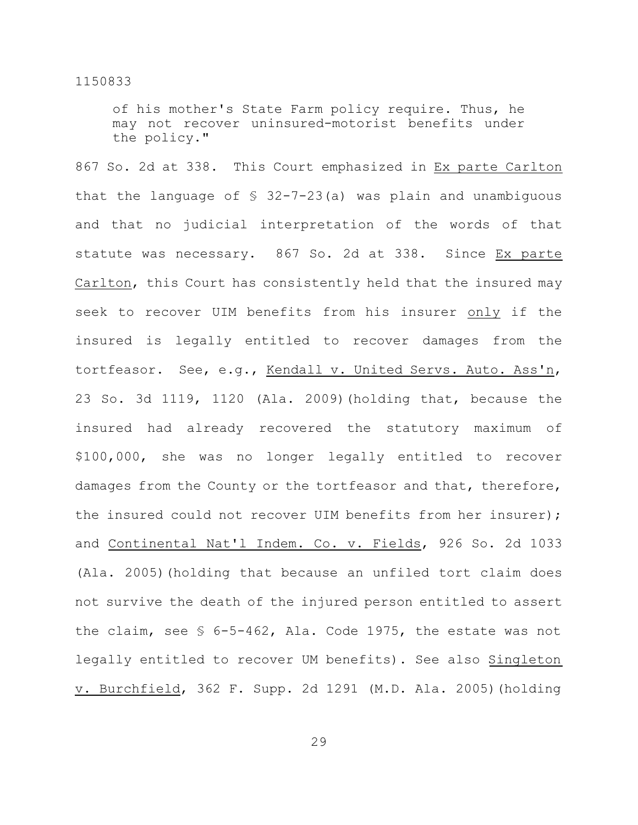of his mother's State Farm policy require. Thus, he may not recover uninsured-motorist benefits under the policy."

867 So. 2d at 338. This Court emphasized in Ex parte Carlton that the language of § 32-7-23(a) was plain and unambiguous and that no judicial interpretation of the words of that statute was necessary. 867 So. 2d at 338. Since Ex parte Carlton, this Court has consistently held that the insured may seek to recover UIM benefits from his insurer only if the insured is legally entitled to recover damages from the tortfeasor. See, e.g., Kendall v. United Servs. Auto. Ass'n, 23 So. 3d 1119, 1120 (Ala. 2009)(holding that, because the insured had already recovered the statutory maximum of \$100,000, she was no longer legally entitled to recover damages from the County or the tortfeasor and that, therefore, the insured could not recover UIM benefits from her insurer); and Continental Nat'l Indem. Co. v. Fields, 926 So. 2d 1033 (Ala. 2005)(holding that because an unfiled tort claim does not survive the death of the injured person entitled to assert the claim, see § 6-5-462, Ala. Code 1975, the estate was not legally entitled to recover UM benefits). See also Singleton v. Burchfield, 362 F. Supp. 2d 1291 (M.D. Ala. 2005)(holding